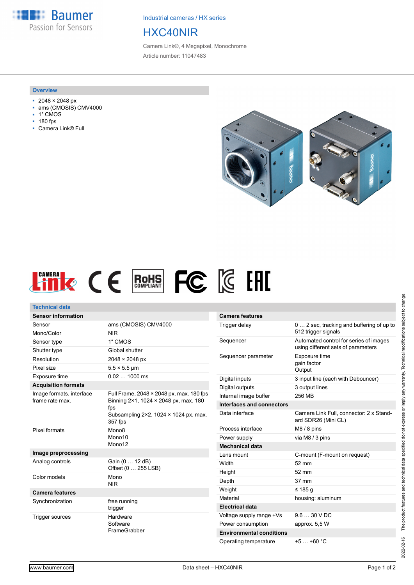**Baumer** Passion for Sensors

Industrial cameras / HX series

## HXC40NIR

Camera Link®, 4 Megapixel, Monochrome Article number: 11047483

## **Overview**

- 2048 × 2048 px
- ams (CMOSIS) CMV4000
- 1″ CMOS
- 180 fps
- Camera Link® Full





| <b>Technical data</b>                       |                                                                                   |                                                               |
|---------------------------------------------|-----------------------------------------------------------------------------------|---------------------------------------------------------------|
| <b>Sensor information</b>                   |                                                                                   | <b>Camera features</b>                                        |
| Sensor                                      | ams (CMOSIS) CMV4000                                                              | Trigger delay                                                 |
| Mono/Color                                  | <b>NIR</b>                                                                        |                                                               |
| Sensor type                                 | 1" CMOS                                                                           | Sequencer                                                     |
| Shutter type                                | Global shutter                                                                    |                                                               |
| Resolution                                  | 2048 × 2048 px                                                                    | Sequencer parame                                              |
| Pixel size                                  | $5.5 \times 5.5$ µm                                                               |                                                               |
| Exposure time                               | $0.021000$ ms                                                                     | Digital inputs                                                |
| <b>Acquisition formats</b>                  |                                                                                   | Digital outputs                                               |
| Image formats, interface<br>frame rate max. | Full Frame, 2048 × 2048 px, max. 180 fps<br>Binning 2×1, 1024 × 2048 px, max. 180 | Internal image buffe                                          |
|                                             |                                                                                   | Interfaces and cor                                            |
|                                             | fps<br>Subsampling $2 \times 2$ , 1024 $\times$ 1024 px, max.<br>357 fps          | Data interface                                                |
| Pixel formats                               | Mono <sub>8</sub><br>Mono10<br>Mono12                                             | Process interface                                             |
|                                             |                                                                                   | Power supply                                                  |
|                                             |                                                                                   | <b>Mechanical data</b>                                        |
| Image preprocessing                         |                                                                                   | Lens mount                                                    |
| Analog controls                             | Gain (0  12 dB)                                                                   | Width                                                         |
| Color models                                | Offset (0  255 LSB)<br>Mono                                                       | Height                                                        |
|                                             | <b>NIR</b>                                                                        | Depth                                                         |
| <b>Camera features</b>                      |                                                                                   | Weight                                                        |
| Synchronization                             | free running<br>trigger                                                           | Material                                                      |
|                                             |                                                                                   | <b>Electrical data</b>                                        |
| Trigger sources                             | Hardware<br>Software<br>FrameGrabber                                              | Voltage supply rang                                           |
|                                             |                                                                                   | Power consumption                                             |
|                                             |                                                                                   | <b>Environmental co</b>                                       |
|                                             |                                                                                   | $\bigcap_{x \in \mathcal{X}} \mathcal{L}(x) = \mathcal{L}(x)$ |

| <b>Camera features</b>          |                                                                              |
|---------------------------------|------------------------------------------------------------------------------|
| Trigger delay                   | 0 2 sec, tracking and buffering of up to<br>512 trigger signals              |
| Sequencer                       | Automated control for series of images<br>using different sets of parameters |
| Sequencer parameter             | Exposure time<br>gain factor<br>Output                                       |
| Digital inputs                  | 3 input line (each with Debouncer)                                           |
| Digital outputs                 | 3 output lines                                                               |
| Internal image buffer           | 256 MB                                                                       |
| Interfaces and connectors       |                                                                              |
| Data interface                  | Camera Link Full, connector: 2 x Stand-<br>ard SDR26 (Mini CL)               |
| Process interface               | $M8/8$ pins                                                                  |
| Power supply                    | via M8 / 3 pins                                                              |
| <b>Mechanical data</b>          |                                                                              |
| Lens mount                      | C-mount (F-mount on request)                                                 |
| Width                           | $52 \text{ mm}$                                                              |
| Height                          | 52 mm                                                                        |
| Depth                           | 37 mm                                                                        |
| Weight                          | ≤ 185 a                                                                      |
| Material                        | housing: aluminum                                                            |
| <b>Electrical data</b>          |                                                                              |
| Voltage supply range +Vs        | $9.630$ VDC                                                                  |
| Power consumption               | approx. 5,5 W                                                                |
| <b>Environmental conditions</b> |                                                                              |
| Operating temperature           | $+5$ $+60$ °C                                                                |